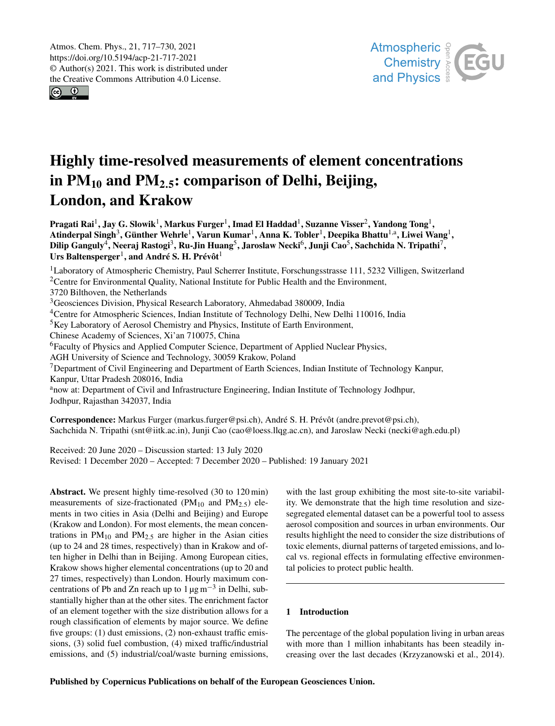$\circledcirc$   $\circledcirc$ 



# Highly time-resolved measurements of element concentrations in  $PM_{10}$  and  $PM_{2.5}$ : comparison of Delhi, Beijing, London, and Krakow

Pragati Rai $^1$ , Jay G. Slowik $^1$ , Markus Furger $^1$ , Imad El Haddad $^1$ , Suzanne Visser $^2$ , Yandong Tong $^1$ , Atinderpal Singh $^3$ , Günther Wehrle $^1$ , Varun Kumar $^1$ , Anna K. Tobler $^1$ , Deepika Bhattu $^{1,a}$ , Liwei Wang $^1$ , Dilip Ganguly<sup>4</sup>, Neeraj Rastogi<sup>3</sup>, Ru-Jin Huang<sup>5</sup>, Jaroslaw Necki<sup>6</sup>, Junji Cao<sup>5</sup>, Sachchida N. Tripathi<sup>7</sup>, Urs Baltensperger<sup>1</sup>, and André S. H. Prévôt<sup>1</sup>

<sup>1</sup>Laboratory of Atmospheric Chemistry, Paul Scherrer Institute, Forschungsstrasse 111, 5232 Villigen, Switzerland <sup>2</sup>Centre for Environmental Quality, National Institute for Public Health and the Environment, 3720 Bilthoven, the Netherlands <sup>3</sup>Geosciences Division, Physical Research Laboratory, Ahmedabad 380009, India <sup>4</sup>Centre for Atmospheric Sciences, Indian Institute of Technology Delhi, New Delhi 110016, India <sup>5</sup>Key Laboratory of Aerosol Chemistry and Physics, Institute of Earth Environment, Chinese Academy of Sciences, Xi'an 710075, China <sup>6</sup>Faculty of Physics and Applied Computer Science, Department of Applied Nuclear Physics, AGH University of Science and Technology, 30059 Krakow, Poland <sup>7</sup>Department of Civil Engineering and Department of Earth Sciences, Indian Institute of Technology Kanpur, Kanpur, Uttar Pradesh 208016, India anow at: Department of Civil and Infrastructure Engineering, Indian Institute of Technology Jodhpur, Jodhpur, Rajasthan 342037, India

Correspondence: Markus Furger (markus.furger@psi.ch), André S. H. Prévôt (andre.prevot@psi.ch), Sachchida N. Tripathi (snt@iitk.ac.in), Junji Cao (cao@loess.llqg.ac.cn), and Jaroslaw Necki (necki@agh.edu.pl)

Received: 20 June 2020 – Discussion started: 13 July 2020 Revised: 1 December 2020 – Accepted: 7 December 2020 – Published: 19 January 2021

Abstract. We present highly time-resolved (30 to 120 min) measurements of size-fractionated ( $PM_{10}$  and  $PM_{2.5}$ ) elements in two cities in Asia (Delhi and Beijing) and Europe (Krakow and London). For most elements, the mean concentrations in  $PM_{10}$  and  $PM_{2.5}$  are higher in the Asian cities (up to 24 and 28 times, respectively) than in Krakow and often higher in Delhi than in Beijing. Among European cities, Krakow shows higher elemental concentrations (up to 20 and 27 times, respectively) than London. Hourly maximum concentrations of Pb and Zn reach up to  $1 \mu g m^{-3}$  in Delhi, substantially higher than at the other sites. The enrichment factor of an element together with the size distribution allows for a rough classification of elements by major source. We define five groups: (1) dust emissions, (2) non-exhaust traffic emissions, (3) solid fuel combustion, (4) mixed traffic/industrial emissions, and (5) industrial/coal/waste burning emissions,

with the last group exhibiting the most site-to-site variability. We demonstrate that the high time resolution and sizesegregated elemental dataset can be a powerful tool to assess aerosol composition and sources in urban environments. Our results highlight the need to consider the size distributions of toxic elements, diurnal patterns of targeted emissions, and local vs. regional effects in formulating effective environmental policies to protect public health.

## 1 Introduction

The percentage of the global population living in urban areas with more than 1 million inhabitants has been steadily increasing over the last decades (Krzyzanowski et al., 2014).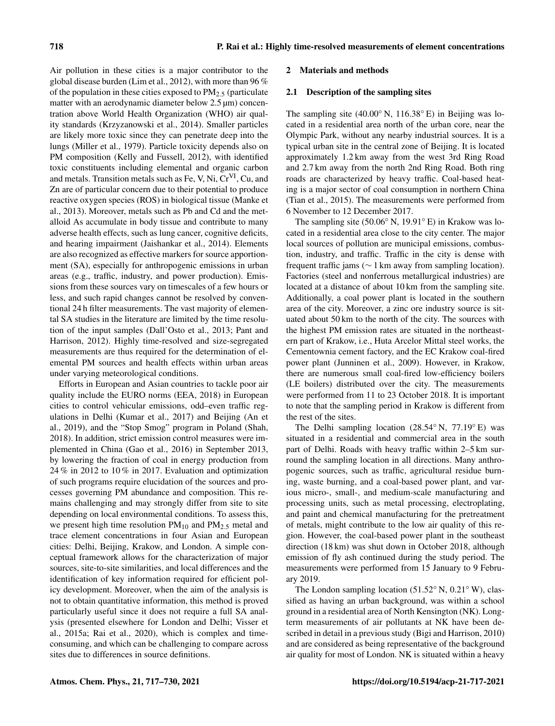Air pollution in these cities is a major contributor to the global disease burden (Lim et al., 2012), with more than 96 % of the population in these cities exposed to  $PM_{2.5}$  (particulate matter with an aerodynamic diameter below 2.5  $\mu$ m) concentration above World Health Organization (WHO) air quality standards (Krzyzanowski et al., 2014). Smaller particles are likely more toxic since they can penetrate deep into the lungs (Miller et al., 1979). Particle toxicity depends also on PM composition (Kelly and Fussell, 2012), with identified toxic constituents including elemental and organic carbon and metals. Transition metals such as Fe, V, Ni,  $Cr<sup>VI</sup>$ , Cu, and Zn are of particular concern due to their potential to produce reactive oxygen species (ROS) in biological tissue (Manke et al., 2013). Moreover, metals such as Pb and Cd and the metalloid As accumulate in body tissue and contribute to many adverse health effects, such as lung cancer, cognitive deficits, and hearing impairment (Jaishankar et al., 2014). Elements are also recognized as effective markers for source apportionment (SA), especially for anthropogenic emissions in urban areas (e.g., traffic, industry, and power production). Emissions from these sources vary on timescales of a few hours or less, and such rapid changes cannot be resolved by conventional 24 h filter measurements. The vast majority of elemental SA studies in the literature are limited by the time resolution of the input samples (Dall'Osto et al., 2013; Pant and Harrison, 2012). Highly time-resolved and size-segregated measurements are thus required for the determination of elemental PM sources and health effects within urban areas under varying meteorological conditions.

Efforts in European and Asian countries to tackle poor air quality include the EURO norms (EEA, 2018) in European cities to control vehicular emissions, odd–even traffic regulations in Delhi (Kumar et al., 2017) and Beijing (An et al., 2019), and the "Stop Smog" program in Poland (Shah, 2018). In addition, strict emission control measures were implemented in China (Gao et al., 2016) in September 2013, by lowering the fraction of coal in energy production from 24 % in 2012 to 10 % in 2017. Evaluation and optimization of such programs require elucidation of the sources and processes governing PM abundance and composition. This remains challenging and may strongly differ from site to site depending on local environmental conditions. To assess this, we present high time resolution  $PM_{10}$  and  $PM_{2.5}$  metal and trace element concentrations in four Asian and European cities: Delhi, Beijing, Krakow, and London. A simple conceptual framework allows for the characterization of major sources, site-to-site similarities, and local differences and the identification of key information required for efficient policy development. Moreover, when the aim of the analysis is not to obtain quantitative information, this method is proved particularly useful since it does not require a full SA analysis (presented elsewhere for London and Delhi; Visser et al., 2015a; Rai et al., 2020), which is complex and timeconsuming, and which can be challenging to compare across sites due to differences in source definitions.

## 2 Materials and methods

#### 2.1 Description of the sampling sites

The sampling site  $(40.00\degree\text{N}, 116.38\degree\text{E})$  in Beijing was located in a residential area north of the urban core, near the Olympic Park, without any nearby industrial sources. It is a typical urban site in the central zone of Beijing. It is located approximately 1.2 km away from the west 3rd Ring Road and 2.7 km away from the north 2nd Ring Road. Both ring roads are characterized by heavy traffic. Coal-based heating is a major sector of coal consumption in northern China (Tian et al., 2015). The measurements were performed from 6 November to 12 December 2017.

The sampling site (50.06◦ N, 19.91◦ E) in Krakow was located in a residential area close to the city center. The major local sources of pollution are municipal emissions, combustion, industry, and traffic. Traffic in the city is dense with frequent traffic jams (∼ 1 km away from sampling location). Factories (steel and nonferrous metallurgical industries) are located at a distance of about 10 km from the sampling site. Additionally, a coal power plant is located in the southern area of the city. Moreover, a zinc ore industry source is situated about 50 km to the north of the city. The sources with the highest PM emission rates are situated in the northeastern part of Krakow, i.e., Huta Arcelor Mittal steel works, the Cementownia cement factory, and the EC Krakow coal-fired power plant (Junninen et al., 2009). However, in Krakow, there are numerous small coal-fired low-efficiency boilers (LE boilers) distributed over the city. The measurements were performed from 11 to 23 October 2018. It is important to note that the sampling period in Krakow is different from the rest of the sites.

The Delhi sampling location (28.54◦ N, 77.19◦ E) was situated in a residential and commercial area in the south part of Delhi. Roads with heavy traffic within 2–5 km surround the sampling location in all directions. Many anthropogenic sources, such as traffic, agricultural residue burning, waste burning, and a coal-based power plant, and various micro-, small-, and medium-scale manufacturing and processing units, such as metal processing, electroplating, and paint and chemical manufacturing for the pretreatment of metals, might contribute to the low air quality of this region. However, the coal-based power plant in the southeast direction (18 km) was shut down in October 2018, although emission of fly ash continued during the study period. The measurements were performed from 15 January to 9 February 2019.

The London sampling location  $(51.52° N, 0.21° W)$ , classified as having an urban background, was within a school ground in a residential area of North Kensington (NK). Longterm measurements of air pollutants at NK have been described in detail in a previous study (Bigi and Harrison, 2010) and are considered as being representative of the background air quality for most of London. NK is situated within a heavy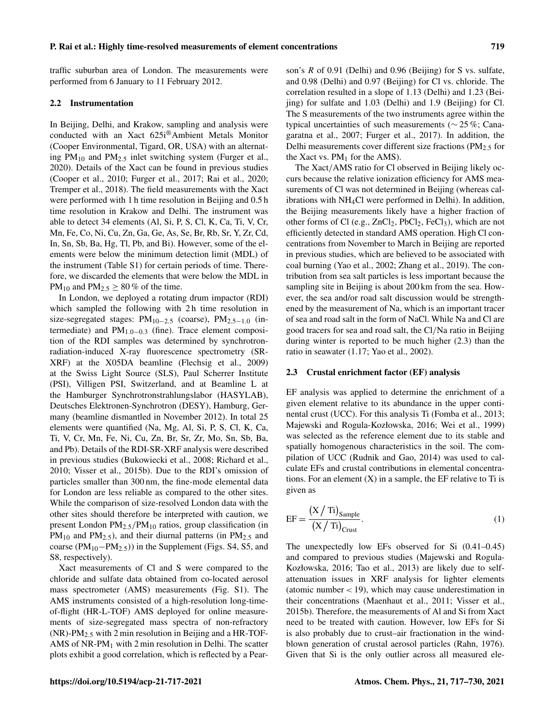traffic suburban area of London. The measurements were performed from 6 January to 11 February 2012.

## 2.2 Instrumentation

In Beijing, Delhi, and Krakow, sampling and analysis were conducted with an Xact 625i®Ambient Metals Monitor (Cooper Environmental, Tigard, OR, USA) with an alternating  $PM_{10}$  and  $PM_{2.5}$  inlet switching system (Furger et al., 2020). Details of the Xact can be found in previous studies (Cooper et al., 2010; Furger et al., 2017; Rai et al., 2020; Tremper et al., 2018). The field measurements with the Xact were performed with 1 h time resolution in Beijing and 0.5 h time resolution in Krakow and Delhi. The instrument was able to detect 34 elements (Al, Si, P, S, Cl, K, Ca, Ti, V, Cr, Mn, Fe, Co, Ni, Cu, Zn, Ga, Ge, As, Se, Br, Rb, Sr, Y, Zr, Cd, In, Sn, Sb, Ba, Hg, Tl, Pb, and Bi). However, some of the elements were below the minimum detection limit (MDL) of the instrument (Table S1) for certain periods of time. Therefore, we discarded the elements that were below the MDL in PM<sub>10</sub> and PM<sub>2.5</sub>  $\geq$  80 % of the time.

In London, we deployed a rotating drum impactor (RDI) which sampled the following with 2h time resolution in size-segregated stages:  $PM_{10-2.5}$  (coarse),  $PM_{2.5-1.0}$  (intermediate) and  $PM_{1.0-0.3}$  (fine). Trace element composition of the RDI samples was determined by synchrotronradiation-induced X-ray fluorescence spectrometry (SR-XRF) at the X05DA beamline (Flechsig et al., 2009) at the Swiss Light Source (SLS), Paul Scherrer Institute (PSI), Villigen PSI, Switzerland, and at Beamline L at the Hamburger Synchrotronstrahlungslabor (HASYLAB), Deutsches Elektronen-Synchrotron (DESY), Hamburg, Germany (beamline dismantled in November 2012). In total 25 elements were quantified (Na, Mg, Al, Si, P, S, Cl, K, Ca, Ti, V, Cr, Mn, Fe, Ni, Cu, Zn, Br, Sr, Zr, Mo, Sn, Sb, Ba, and Pb). Details of the RDI-SR-XRF analysis were described in previous studies (Bukowiecki et al., 2008; Richard et al., 2010; Visser et al., 2015b). Due to the RDI's omission of particles smaller than 300 nm, the fine-mode elemental data for London are less reliable as compared to the other sites. While the comparison of size-resolved London data with the other sites should therefore be interpreted with caution, we present London  $PM_{2.5}/PM_{10}$  ratios, group classification (in  $PM_{10}$  and  $PM_{2.5}$ ), and their diurnal patterns (in  $PM_{2.5}$  and coarse  $(PM_{10}-PM_{2.5})$  in the Supplement (Figs. S4, S5, and S8, respectively).

Xact measurements of Cl and S were compared to the chloride and sulfate data obtained from co-located aerosol mass spectrometer (AMS) measurements (Fig. S1). The AMS instruments consisted of a high-resolution long-timeof-flight (HR-L-TOF) AMS deployed for online measurements of size-segregated mass spectra of non-refractory  $(NR)$ -PM<sub>2.5</sub> with 2 min resolution in Beijing and a HR-TOF-AMS of NR-PM $<sub>1</sub>$  with 2 min resolution in Delhi. The scatter</sub> plots exhibit a good correlation, which is reflected by a Pearson's R of 0.91 (Delhi) and 0.96 (Beijing) for S vs. sulfate, and 0.98 (Delhi) and 0.97 (Beijing) for Cl vs. chloride. The correlation resulted in a slope of 1.13 (Delhi) and 1.23 (Beijing) for sulfate and 1.03 (Delhi) and 1.9 (Beijing) for Cl. The S measurements of the two instruments agree within the typical uncertainties of such measurements (∼ 25 %; Canagaratna et al., 2007; Furger et al., 2017). In addition, the Delhi measurements cover different size fractions ( $PM_{2.5}$  for the Xact vs.  $PM_1$  for the AMS).

The Xact/AMS ratio for Cl observed in Beijing likely occurs because the relative ionization efficiency for AMS measurements of Cl was not determined in Beijing (whereas calibrations with NH4Cl were performed in Delhi). In addition, the Beijing measurements likely have a higher fraction of other forms of Cl (e.g.,  $ZnCl_2$ ,  $PbCl_2$ ,  $FeCl_3$ ), which are not efficiently detected in standard AMS operation. High Cl concentrations from November to March in Beijing are reported in previous studies, which are believed to be associated with coal burning (Yao et al., 2002; Zhang et al., 2019). The contribution from sea salt particles is less important because the sampling site in Beijing is about 200 km from the sea. However, the sea and/or road salt discussion would be strengthened by the measurement of Na, which is an important tracer of sea and road salt in the form of NaCl. While Na and Cl are good tracers for sea and road salt, the Cl/Na ratio in Beijing during winter is reported to be much higher (2.3) than the ratio in seawater (1.17; Yao et al., 2002).

#### 2.3 Crustal enrichment factor (EF) analysis

EF analysis was applied to determine the enrichment of a given element relative to its abundance in the upper continental crust (UCC). For this analysis Ti (Fomba et al., 2013; Majewski and Rogula-Kozłowska, 2016; Wei et al., 1999) was selected as the reference element due to its stable and spatially homogenous characteristics in the soil. The compilation of UCC (Rudnik and Gao, 2014) was used to calculate EFs and crustal contributions in elemental concentrations. For an element  $(X)$  in a sample, the EF relative to Ti is given as

$$
EF = \frac{(X/Ti)_{Sample}}{(X/Ti)_{Crust}}.\t(1)
$$

The unexpectedly low EFs observed for Si (0.41–0.45) and compared to previous studies (Majewski and Rogula-Kozłowska, 2016; Tao et al., 2013) are likely due to selfattenuation issues in XRF analysis for lighter elements (atomic number  $<$  19), which may cause underestimation in their concentrations (Maenhaut et al., 2011; Visser et al., 2015b). Therefore, the measurements of Al and Si from Xact need to be treated with caution. However, low EFs for Si is also probably due to crust–air fractionation in the windblown generation of crustal aerosol particles (Rahn, 1976). Given that Si is the only outlier across all measured ele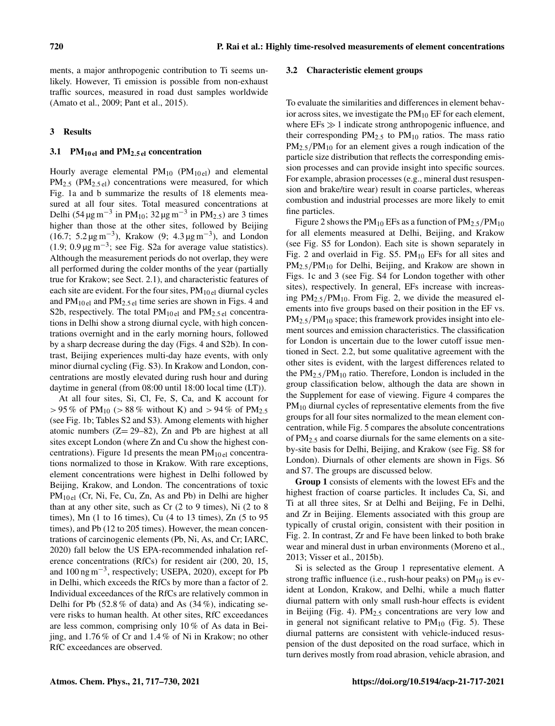ments, a major anthropogenic contribution to Ti seems unlikely. However, Ti emission is possible from non-exhaust traffic sources, measured in road dust samples worldwide (Amato et al., 2009; Pant et al., 2015).

## 3 Results

## 3.1 PM $_{10 \text{ el}}$  and PM $_{2.5 \text{ el}}$  concentration

Hourly average elemental  $PM_{10}$  ( $PM_{10}$ el) and elemental  $PM_{2.5}$  (PM<sub>2.5 el</sub>) concentrations were measured, for which Fig. 1a and b summarize the results of 18 elements measured at all four sites. Total measured concentrations at Delhi (54 µg m<sup>-3</sup> in PM<sub>10</sub>; 32 µg m<sup>-3</sup> in PM<sub>2.5</sub>) are 3 times higher than those at the other sites, followed by Beijing (16.7; 5.2 μg m<sup>-3</sup>), Krakow (9; 4.3 μg m<sup>-3</sup>), and London (1.9; 0.9  $\mu$ g m<sup>-3</sup>; see Fig. S2a for average value statistics). Although the measurement periods do not overlap, they were all performed during the colder months of the year (partially true for Krakow; see Sect. 2.1), and characteristic features of each site are evident. For the four sites, PM<sub>10 el</sub> diurnal cycles and  $PM_{10el}$  and  $PM_{2.5el}$  time series are shown in Figs. 4 and S2b, respectively. The total  $PM_{10el}$  and  $PM_{2.5el}$  concentrations in Delhi show a strong diurnal cycle, with high concentrations overnight and in the early morning hours, followed by a sharp decrease during the day (Figs. 4 and S2b). In contrast, Beijing experiences multi-day haze events, with only minor diurnal cycling (Fig. S3). In Krakow and London, concentrations are mostly elevated during rush hour and during daytime in general (from 08:00 until 18:00 local time (LT)).

At all four sites, Si, Cl, Fe, S, Ca, and K account for  $> 95\%$  of PM<sub>10</sub> ( $> 88\%$  without K) and  $> 94\%$  of PM<sub>2.5</sub> (see Fig. 1b; Tables S2 and S3). Among elements with higher atomic numbers  $(Z= 29-82)$ , Zn and Pb are highest at all sites except London (where Zn and Cu show the highest concentrations). Figure 1d presents the mean  $PM_{10el}$  concentrations normalized to those in Krakow. With rare exceptions, element concentrations were highest in Delhi followed by Beijing, Krakow, and London. The concentrations of toxic PM<sub>10 el</sub> (Cr, Ni, Fe, Cu, Zn, As and Pb) in Delhi are higher than at any other site, such as Cr (2 to 9 times), Ni (2 to 8 times), Mn (1 to 16 times), Cu (4 to 13 times), Zn (5 to 95 times), and Pb (12 to 205 times). However, the mean concentrations of carcinogenic elements (Pb, Ni, As, and Cr; IARC, 2020) fall below the US EPA-recommended inhalation reference concentrations (RfCs) for resident air (200, 20, 15, and 100 ng m−<sup>3</sup> , respectively; USEPA, 2020), except for Pb in Delhi, which exceeds the RfCs by more than a factor of 2. Individual exceedances of the RfCs are relatively common in Delhi for Pb  $(52.8\%$  of data) and As  $(34\%)$ , indicating severe risks to human health. At other sites, RfC exceedances are less common, comprising only 10 % of As data in Beijing, and 1.76 % of Cr and 1.4 % of Ni in Krakow; no other RfC exceedances are observed.

## 3.2 Characteristic element groups

To evaluate the similarities and differences in element behavior across sites, we investigate the  $PM_{10}$  EF for each element, where  $EFs \gg 1$  indicate strong anthropogenic influence, and their corresponding  $PM_{2.5}$  to  $PM_{10}$  ratios. The mass ratio  $PM_{2.5}/PM_{10}$  for an element gives a rough indication of the particle size distribution that reflects the corresponding emission processes and can provide insight into specific sources. For example, abrasion processes (e.g., mineral dust resuspension and brake/tire wear) result in coarse particles, whereas combustion and industrial processes are more likely to emit fine particles.

Figure 2 shows the  $PM_{10}$  EFs as a function of  $PM_{2.5}/PM_{10}$ for all elements measured at Delhi, Beijing, and Krakow (see Fig. S5 for London). Each site is shown separately in Fig. 2 and overlaid in Fig. S5.  $PM_{10}$  EFs for all sites and  $PM_{2.5}/PM_{10}$  for Delhi, Beijing, and Krakow are shown in Figs. 1c and 3 (see Fig. S4 for London together with other sites), respectively. In general, EFs increase with increasing  $PM_{2.5}/PM_{10}$ . From Fig. 2, we divide the measured elements into five groups based on their position in the EF vs.  $PM_{2.5}/PM_{10}$  space; this framework provides insight into element sources and emission characteristics. The classification for London is uncertain due to the lower cutoff issue mentioned in Sect. 2.2, but some qualitative agreement with the other sites is evident, with the largest differences related to the  $PM_{2.5}/PM_{10}$  ratio. Therefore, London is included in the group classification below, although the data are shown in the Supplement for ease of viewing. Figure 4 compares the PM<sub>10</sub> diurnal cycles of representative elements from the five groups for all four sites normalized to the mean element concentration, while Fig. 5 compares the absolute concentrations of PM<sub>2.5</sub> and coarse diurnals for the same elements on a siteby-site basis for Delhi, Beijing, and Krakow (see Fig. S8 for London). Diurnals of other elements are shown in Figs. S6 and S7. The groups are discussed below.

Group 1 consists of elements with the lowest EFs and the highest fraction of coarse particles. It includes Ca, Si, and Ti at all three sites, Sr at Delhi and Beijing, Fe in Delhi, and Zr in Beijing. Elements associated with this group are typically of crustal origin, consistent with their position in Fig. 2. In contrast, Zr and Fe have been linked to both brake wear and mineral dust in urban environments (Moreno et al., 2013; Visser et al., 2015b).

Si is selected as the Group 1 representative element. A strong traffic influence (i.e., rush-hour peaks) on  $PM_{10}$  is evident at London, Krakow, and Delhi, while a much flatter diurnal pattern with only small rush-hour effects is evident in Beijing (Fig. 4).  $PM_{2.5}$  concentrations are very low and in general not significant relative to  $PM_{10}$  (Fig. 5). These diurnal patterns are consistent with vehicle-induced resuspension of the dust deposited on the road surface, which in turn derives mostly from road abrasion, vehicle abrasion, and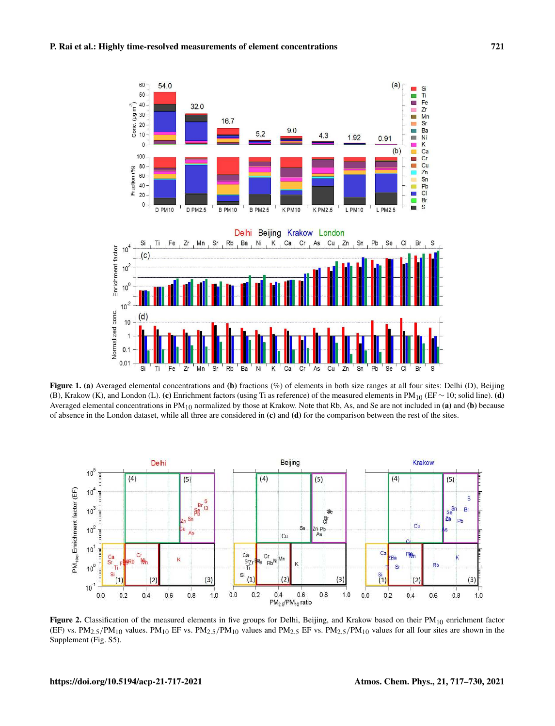

Figure 1. (a) Averaged elemental concentrations and (b) fractions (%) of elements in both size ranges at all four sites: Delhi (D), Beijing (B), Krakow (K), and London (L). (c) Enrichment factors (using Ti as reference) of the measured elements in PM<sub>10</sub> (EF ~ 10; solid line). (d) Averaged elemental concentrations in  $PM_{10}$  normalized by those at Krakow. Note that Rb, As, and Se are not included in (a) and (b) because of absence in the London dataset, while all three are considered in (c) and (d) for the comparison between the rest of the sites.



Figure 2. Classification of the measured elements in five groups for Delhi, Beijing, and Krakow based on their  $PM_{10}$  enrichment factor (EF) vs.  $PM_{2.5}/PM_{10}$  values.  $PM_{10}$  EF vs.  $PM_{2.5}/PM_{10}$  values and  $PM_{2.5}$  EF vs.  $PM_{2.5}/PM_{10}$  values for all four sites are shown in the Supplement (Fig. S5).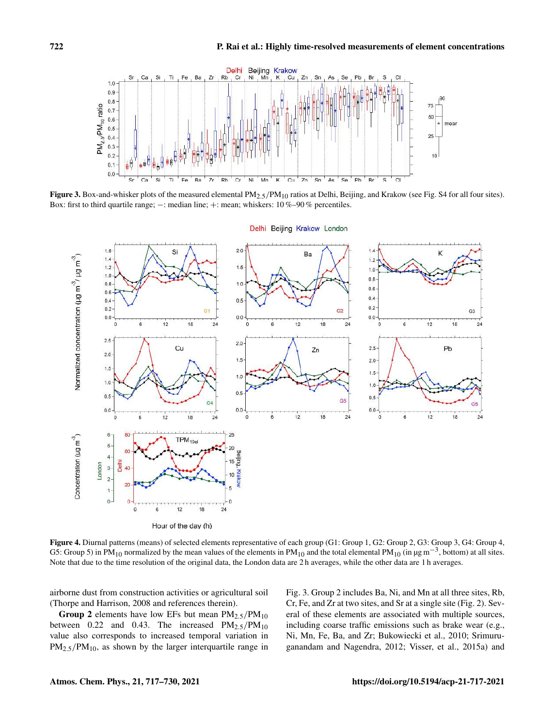

Figure 3. Box-and-whisker plots of the measured elemental PM<sub>2.5</sub>/PM<sub>10</sub> ratios at Delhi, Beijing, and Krakow (see Fig. S4 for all four sites). Box: first to third quartile range; −: median line; +: mean; whiskers: 10 %–90 % percentiles.



Delhi Beijing Krakow London

Figure 4. Diurnal patterns (means) of selected elements representative of each group (G1: Group 1, G2: Group 2, G3: Group 3, G4: Group 4, G5: Group 5) in PM<sub>10</sub> normalized by the mean values of the elements in PM<sub>10</sub> and the total elemental PM<sub>10</sub> (in µg m<sup>-3</sup>, bottom) at all sites. Note that due to the time resolution of the original data, the London data are 2 h averages, while the other data are 1 h averages.

airborne dust from construction activities or agricultural soil (Thorpe and Harrison, 2008 and references therein).

**Group 2** elements have low EFs but mean  $PM_{2.5}/PM_{10}$ between 0.22 and 0.43. The increased  $PM_{2.5}/PM_{10}$ value also corresponds to increased temporal variation in  $PM_{2.5}/PM_{10}$ , as shown by the larger interquartile range in Fig. 3. Group 2 includes Ba, Ni, and Mn at all three sites, Rb, Cr, Fe, and Zr at two sites, and Sr at a single site (Fig. 2). Several of these elements are associated with multiple sources, including coarse traffic emissions such as brake wear (e.g., Ni, Mn, Fe, Ba, and Zr; Bukowiecki et al., 2010; Srimuruganandam and Nagendra, 2012; Visser, et al., 2015a) and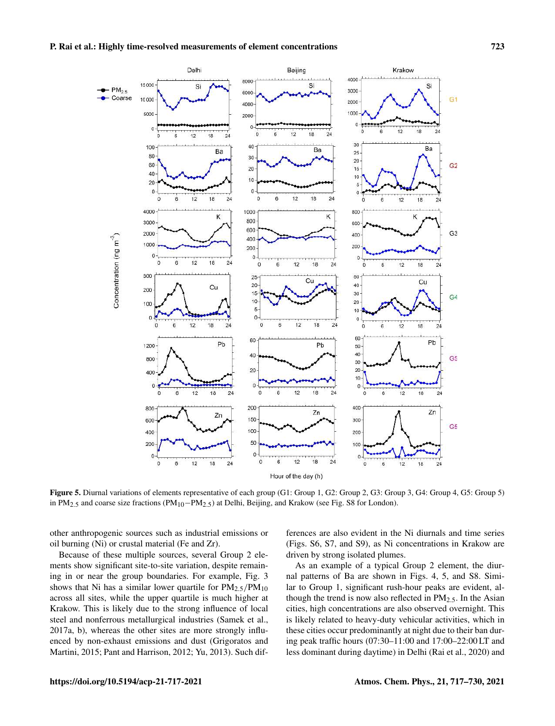

Figure 5. Diurnal variations of elements representative of each group (G1: Group 1, G2: Group 2, G3: Group 3, G4: Group 4, G5: Group 5) in PM2.<sup>5</sup> and coarse size fractions (PM10−PM2.5) at Delhi, Beijing, and Krakow (see Fig. S8 for London).

other anthropogenic sources such as industrial emissions or oil burning (Ni) or crustal material (Fe and Zr).

Because of these multiple sources, several Group 2 elements show significant site-to-site variation, despite remaining in or near the group boundaries. For example, Fig. 3 shows that Ni has a similar lower quartile for  $PM_{2.5}/PM_{10}$ across all sites, while the upper quartile is much higher at Krakow. This is likely due to the strong influence of local steel and nonferrous metallurgical industries (Samek et al., 2017a, b), whereas the other sites are more strongly influenced by non-exhaust emissions and dust (Grigoratos and Martini, 2015; Pant and Harrison, 2012; Yu, 2013). Such differences are also evident in the Ni diurnals and time series (Figs. S6, S7, and S9), as Ni concentrations in Krakow are driven by strong isolated plumes.

As an example of a typical Group 2 element, the diurnal patterns of Ba are shown in Figs. 4, 5, and S8. Similar to Group 1, significant rush-hour peaks are evident, although the trend is now also reflected in  $PM_{2.5}$ . In the Asian cities, high concentrations are also observed overnight. This is likely related to heavy-duty vehicular activities, which in these cities occur predominantly at night due to their ban during peak traffic hours (07:30–11:00 and 17:00–22:00 LT and less dominant during daytime) in Delhi (Rai et al., 2020) and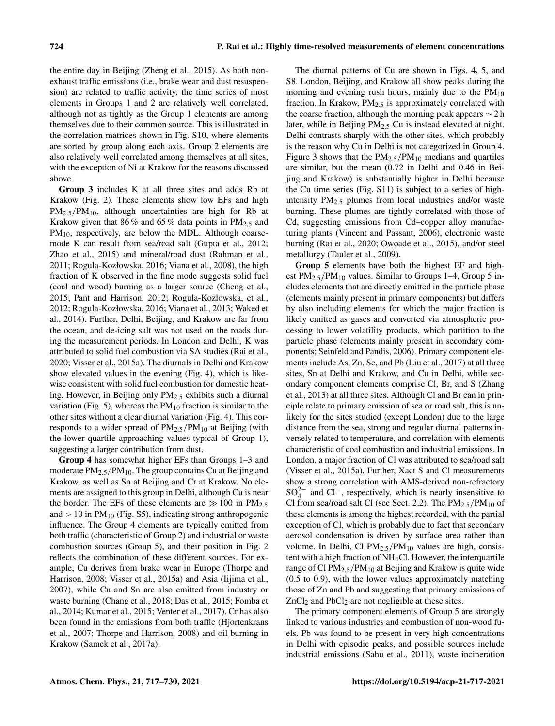the entire day in Beijing (Zheng et al., 2015). As both nonexhaust traffic emissions (i.e., brake wear and dust resuspension) are related to traffic activity, the time series of most elements in Groups 1 and 2 are relatively well correlated, although not as tightly as the Group 1 elements are among themselves due to their common source. This is illustrated in the correlation matrices shown in Fig. S10, where elements are sorted by group along each axis. Group 2 elements are also relatively well correlated among themselves at all sites, with the exception of Ni at Krakow for the reasons discussed above.

Group 3 includes K at all three sites and adds Rb at Krakow (Fig. 2). These elements show low EFs and high PM<sub>2.5</sub>/PM<sub>10</sub>, although uncertainties are high for Rb at Krakow given that 86 % and 65 % data points in  $PM_{2.5}$  and PM<sub>10</sub>, respectively, are below the MDL. Although coarsemode K can result from sea/road salt (Gupta et al., 2012; Zhao et al., 2015) and mineral/road dust (Rahman et al., 2011; Rogula-Kozłowska, 2016; Viana et al., 2008), the high fraction of K observed in the fine mode suggests solid fuel (coal and wood) burning as a larger source (Cheng et al., 2015; Pant and Harrison, 2012; Rogula-Kozłowska, et al., 2012; Rogula-Kozłowska, 2016; Viana et al., 2013; Waked et al., 2014). Further, Delhi, Beijing, and Krakow are far from the ocean, and de-icing salt was not used on the roads during the measurement periods. In London and Delhi, K was attributed to solid fuel combustion via SA studies (Rai et al., 2020; Visser et al., 2015a). The diurnals in Delhi and Krakow show elevated values in the evening (Fig. 4), which is likewise consistent with solid fuel combustion for domestic heating. However, in Beijing only PM2.<sup>5</sup> exhibits such a diurnal variation (Fig. 5), whereas the  $PM_{10}$  fraction is similar to the other sites without a clear diurnal variation (Fig. 4). This corresponds to a wider spread of  $PM_{2.5}/PM_{10}$  at Beijing (with the lower quartile approaching values typical of Group 1), suggesting a larger contribution from dust.

Group 4 has somewhat higher EFs than Groups 1–3 and moderate  $PM_{2.5}/PM_{10}$ . The group contains Cu at Beijing and Krakow, as well as Sn at Beijing and Cr at Krakow. No elements are assigned to this group in Delhi, although Cu is near the border. The EFs of these elements are  $\gg 100$  in PM<sub>2.5</sub> and  $> 10$  in PM<sub>10</sub> (Fig. S5), indicating strong anthropogenic influence. The Group 4 elements are typically emitted from both traffic (characteristic of Group 2) and industrial or waste combustion sources (Group 5), and their position in Fig. 2 reflects the combination of these different sources. For example, Cu derives from brake wear in Europe (Thorpe and Harrison, 2008; Visser et al., 2015a) and Asia (Iijima et al., 2007), while Cu and Sn are also emitted from industry or waste burning (Chang et al., 2018; Das et al., 2015; Fomba et al., 2014; Kumar et al., 2015; Venter et al., 2017). Cr has also been found in the emissions from both traffic (Hjortenkrans et al., 2007; Thorpe and Harrison, 2008) and oil burning in Krakow (Samek et al., 2017a).

The diurnal patterns of Cu are shown in Figs. 4, 5, and S8. London, Beijing, and Krakow all show peaks during the morning and evening rush hours, mainly due to the  $PM_{10}$ fraction. In Krakow,  $PM_{2.5}$  is approximately correlated with the coarse fraction, although the morning peak appears  $\sim$  2 h later, while in Beijing  $PM_{2.5}$  Cu is instead elevated at night. Delhi contrasts sharply with the other sites, which probably is the reason why Cu in Delhi is not categorized in Group 4. Figure 3 shows that the  $PM_{2.5}/PM_{10}$  medians and quartiles are similar, but the mean (0.72 in Delhi and 0.46 in Beijing and Krakow) is substantially higher in Delhi because the Cu time series (Fig. S11) is subject to a series of highintensity PM2.<sup>5</sup> plumes from local industries and/or waste burning. These plumes are tightly correlated with those of Cd, suggesting emissions from Cd–copper alloy manufacturing plants (Vincent and Passant, 2006), electronic waste burning (Rai et al., 2020; Owoade et al., 2015), and/or steel metallurgy (Tauler et al., 2009).

Group 5 elements have both the highest EF and highest  $PM_{2.5}/PM_{10}$  values. Similar to Groups 1–4, Group 5 includes elements that are directly emitted in the particle phase (elements mainly present in primary components) but differs by also including elements for which the major fraction is likely emitted as gases and converted via atmospheric processing to lower volatility products, which partition to the particle phase (elements mainly present in secondary components; Seinfeld and Pandis, 2006). Primary component elements include As, Zn, Se, and Pb (Liu et al., 2017) at all three sites, Sn at Delhi and Krakow, and Cu in Delhi, while secondary component elements comprise Cl, Br, and S (Zhang et al., 2013) at all three sites. Although Cl and Br can in principle relate to primary emission of sea or road salt, this is unlikely for the sites studied (except London) due to the large distance from the sea, strong and regular diurnal patterns inversely related to temperature, and correlation with elements characteristic of coal combustion and industrial emissions. In London, a major fraction of Cl was attributed to sea/road salt (Visser et al., 2015a). Further, Xact S and Cl measurements show a strong correlation with AMS-derived non-refractory  $SO_4^{2-}$  and  $Cl^-$ , respectively, which is nearly insensitive to Cl from sea/road salt Cl (see Sect. 2.2). The  $PM_{2.5}/PM_{10}$  of these elements is among the highest recorded, with the partial exception of Cl, which is probably due to fact that secondary aerosol condensation is driven by surface area rather than volume. In Delhi, Cl  $PM_{2.5}/PM_{10}$  values are high, consistent with a high fraction of  $NH<sub>4</sub>Cl$ . However, the interquartile range of Cl  $PM_{2.5}/PM_{10}$  at Beijing and Krakow is quite wide (0.5 to 0.9), with the lower values approximately matching those of Zn and Pb and suggesting that primary emissions of  $ZnCl<sub>2</sub>$  and PbCl<sub>2</sub> are not negligible at these sites.

The primary component elements of Group 5 are strongly linked to various industries and combustion of non-wood fuels. Pb was found to be present in very high concentrations in Delhi with episodic peaks, and possible sources include industrial emissions (Sahu et al., 2011), waste incineration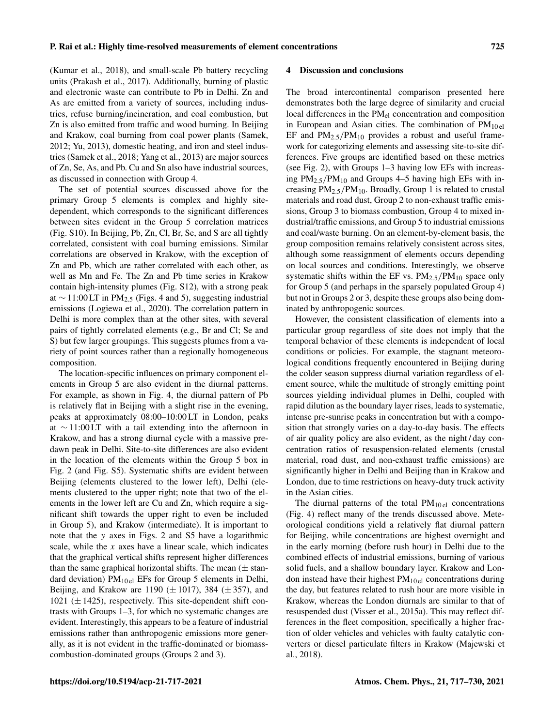(Kumar et al., 2018), and small-scale Pb battery recycling units (Prakash et al., 2017). Additionally, burning of plastic and electronic waste can contribute to Pb in Delhi. Zn and As are emitted from a variety of sources, including industries, refuse burning/incineration, and coal combustion, but Zn is also emitted from traffic and wood burning. In Beijing and Krakow, coal burning from coal power plants (Samek, 2012; Yu, 2013), domestic heating, and iron and steel industries (Samek et al., 2018; Yang et al., 2013) are major sources of Zn, Se, As, and Pb. Cu and Sn also have industrial sources, as discussed in connection with Group 4.

The set of potential sources discussed above for the primary Group 5 elements is complex and highly sitedependent, which corresponds to the significant differences between sites evident in the Group 5 correlation matrices (Fig. S10). In Beijing, Pb, Zn, Cl, Br, Se, and S are all tightly correlated, consistent with coal burning emissions. Similar correlations are observed in Krakow, with the exception of Zn and Pb, which are rather correlated with each other, as well as Mn and Fe. The Zn and Pb time series in Krakow contain high-intensity plumes (Fig. S12), with a strong peak at  $\sim$  11:00 LT in PM<sub>2.5</sub> (Figs. 4 and 5), suggesting industrial emissions (Logiewa et al., 2020). The correlation pattern in Delhi is more complex than at the other sites, with several pairs of tightly correlated elements (e.g., Br and Cl; Se and S) but few larger groupings. This suggests plumes from a variety of point sources rather than a regionally homogeneous composition.

The location-specific influences on primary component elements in Group 5 are also evident in the diurnal patterns. For example, as shown in Fig. 4, the diurnal pattern of Pb is relatively flat in Beijing with a slight rise in the evening, peaks at approximately 08:00–10:00 LT in London, peaks at ∼ 11:00 LT with a tail extending into the afternoon in Krakow, and has a strong diurnal cycle with a massive predawn peak in Delhi. Site-to-site differences are also evident in the location of the elements within the Group 5 box in Fig. 2 (and Fig. S5). Systematic shifts are evident between Beijing (elements clustered to the lower left), Delhi (elements clustered to the upper right; note that two of the elements in the lower left are Cu and Zn, which require a significant shift towards the upper right to even be included in Group 5), and Krakow (intermediate). It is important to note that the y axes in Figs. 2 and S5 have a logarithmic scale, while the  $x$  axes have a linear scale, which indicates that the graphical vertical shifts represent higher differences than the same graphical horizontal shifts. The mean  $(\pm \text{ stan} - \text{Span} \times \text{Span} \times \text{Span} \times \text{Span} \times \text{Span} \times \text{Span} \times \text{Span} \times \text{Span} \times \text{Span} \times \text{Span} \times \text{Span} \times \text{Span} \times \text{Span} \times \text{Span} \times \text{Span} \times \text{Span} \times \text{Span} \times \text{Span} \times \text{Span} \times \text{Span} \times \text{Span} \times \text{Span} \times \text{Span} \$ dard deviation)  $PM_{10el}$  EFs for Group 5 elements in Delhi, Beijing, and Krakow are 1190 ( $\pm$  1017), 384 ( $\pm$  357), and 1021 ( $\pm$  1425), respectively. This site-dependent shift contrasts with Groups 1–3, for which no systematic changes are evident. Interestingly, this appears to be a feature of industrial emissions rather than anthropogenic emissions more generally, as it is not evident in the traffic-dominated or biomasscombustion-dominated groups (Groups 2 and 3).

### 4 Discussion and conclusions

The broad intercontinental comparison presented here demonstrates both the large degree of similarity and crucial local differences in the PM<sub>el</sub> concentration and composition in European and Asian cities. The combination of  $PM_{10el}$ EF and  $PM_{2.5}/PM_{10}$  provides a robust and useful framework for categorizing elements and assessing site-to-site differences. Five groups are identified based on these metrics (see Fig. 2), with Groups 1–3 having low EFs with increasing  $PM_{2.5}/PM_{10}$  and Groups 4–5 having high EFs with increasing  $PM_2$ <sub>5</sub>/PM<sub>10</sub>. Broadly, Group 1 is related to crustal materials and road dust, Group 2 to non-exhaust traffic emissions, Group 3 to biomass combustion, Group 4 to mixed industrial/traffic emissions, and Group 5 to industrial emissions and coal/waste burning. On an element-by-element basis, the group composition remains relatively consistent across sites, although some reassignment of elements occurs depending on local sources and conditions. Interestingly, we observe systematic shifts within the EF vs.  $PM_{2.5}/PM_{10}$  space only for Group 5 (and perhaps in the sparsely populated Group 4) but not in Groups 2 or 3, despite these groups also being dominated by anthropogenic sources.

However, the consistent classification of elements into a particular group regardless of site does not imply that the temporal behavior of these elements is independent of local conditions or policies. For example, the stagnant meteorological conditions frequently encountered in Beijing during the colder season suppress diurnal variation regardless of element source, while the multitude of strongly emitting point sources yielding individual plumes in Delhi, coupled with rapid dilution as the boundary layer rises, leads to systematic, intense pre-sunrise peaks in concentration but with a composition that strongly varies on a day-to-day basis. The effects of air quality policy are also evident, as the night / day concentration ratios of resuspension-related elements (crustal material, road dust, and non-exhaust traffic emissions) are significantly higher in Delhi and Beijing than in Krakow and London, due to time restrictions on heavy-duty truck activity in the Asian cities.

The diurnal patterns of the total  $PM_{10el}$  concentrations (Fig. 4) reflect many of the trends discussed above. Meteorological conditions yield a relatively flat diurnal pattern for Beijing, while concentrations are highest overnight and in the early morning (before rush hour) in Delhi due to the combined effects of industrial emissions, burning of various solid fuels, and a shallow boundary layer. Krakow and London instead have their highest  $PM_{10el}$  concentrations during the day, but features related to rush hour are more visible in Krakow, whereas the London diurnals are similar to that of resuspended dust (Visser et al., 2015a). This may reflect differences in the fleet composition, specifically a higher fraction of older vehicles and vehicles with faulty catalytic converters or diesel particulate filters in Krakow (Majewski et al., 2018).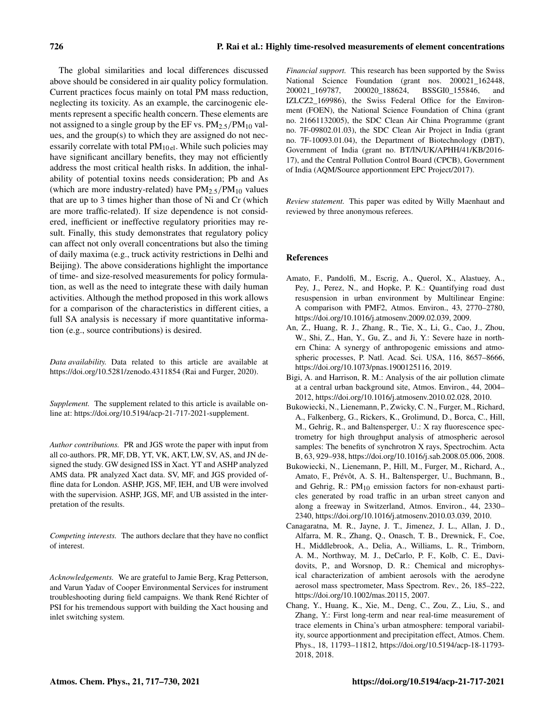The global similarities and local differences discussed above should be considered in air quality policy formulation. Current practices focus mainly on total PM mass reduction, neglecting its toxicity. As an example, the carcinogenic elements represent a specific health concern. These elements are not assigned to a single group by the EF vs.  $PM_{2.5}/PM_{10}$  values, and the group(s) to which they are assigned do not necessarily correlate with total  $PM_{10 \text{ el}}$ . While such policies may have significant ancillary benefits, they may not efficiently address the most critical health risks. In addition, the inhalability of potential toxins needs consideration; Pb and As (which are more industry-related) have  $PM_{2.5}/PM_{10}$  values that are up to 3 times higher than those of Ni and Cr (which are more traffic-related). If size dependence is not considered, inefficient or ineffective regulatory priorities may result. Finally, this study demonstrates that regulatory policy can affect not only overall concentrations but also the timing of daily maxima (e.g., truck activity restrictions in Delhi and Beijing). The above considerations highlight the importance of time- and size-resolved measurements for policy formulation, as well as the need to integrate these with daily human activities. Although the method proposed in this work allows for a comparison of the characteristics in different cities, a full SA analysis is necessary if more quantitative information (e.g., source contributions) is desired.

*Data availability.* Data related to this article are available at https://doi.org/10.5281/zenodo.4311854 (Rai and Furger, 2020).

*Supplement.* The supplement related to this article is available online at: https://doi.org/10.5194/acp-21-717-2021-supplement.

*Author contributions.* PR and JGS wrote the paper with input from all co-authors. PR, MF, DB, YT, VK, AKT, LW, SV, AS, and JN designed the study. GW designed ISS in Xact. YT and ASHP analyzed AMS data. PR analyzed Xact data. SV, MF, and JGS provided offline data for London. ASHP, JGS, MF, IEH, and UB were involved with the supervision. ASHP, JGS, MF, and UB assisted in the interpretation of the results.

*Competing interests.* The authors declare that they have no conflict of interest.

*Acknowledgements.* We are grateful to Jamie Berg, Krag Petterson, and Varun Yadav of Cooper Environmental Services for instrument troubleshooting during field campaigns. We thank René Richter of PSI for his tremendous support with building the Xact housing and inlet switching system.

*Financial support.* This research has been supported by the Swiss National Science Foundation (grant nos. 200021\_162448, 200021\_169787, 200020\_188624, BSSGI0\_155846, and IZLCZ2\_169986), the Swiss Federal Office for the Environment (FOEN), the National Science Foundation of China (grant no. 21661132005), the SDC Clean Air China Programme (grant no. 7F-09802.01.03), the SDC Clean Air Project in India (grant no. 7F-10093.01.04), the Department of Biotechnology (DBT), Government of India (grant no. BT/IN/UK/APHH/41/KB/2016- 17), and the Central Pollution Control Board (CPCB), Government of India (AQM/Source apportionment EPC Project/2017).

*Review statement.* This paper was edited by Willy Maenhaut and reviewed by three anonymous referees.

## References

- Amato, F., Pandolfi, M., Escrig, A., Querol, X., Alastuey, A., Pey, J., Perez, N., and Hopke, P. K.: Quantifying road dust resuspension in urban environment by Multilinear Engine: A comparison with PMF2, Atmos. Environ., 43, 2770–2780, https://doi.org/10.1016/j.atmosenv.2009.02.039, 2009.
- An, Z., Huang, R. J., Zhang, R., Tie, X., Li, G., Cao, J., Zhou, W., Shi, Z., Han, Y., Gu, Z., and Ji, Y.: Severe haze in northern China: A synergy of anthropogenic emissions and atmospheric processes, P. Natl. Acad. Sci. USA, 116, 8657–8666, https://doi.org/10.1073/pnas.1900125116, 2019.
- Bigi, A. and Harrison, R. M.: Analysis of the air pollution climate at a central urban background site, Atmos. Environ., 44, 2004– 2012, https://doi.org/10.1016/j.atmosenv.2010.02.028, 2010.
- Bukowiecki, N., Lienemann, P., Zwicky, C. N., Furger, M., Richard, A., Falkenberg, G., Rickers, K., Grolimund, D., Borca, C., Hill, M., Gehrig, R., and Baltensperger, U.: X ray fluorescence spectrometry for high throughput analysis of atmospheric aerosol samples: The benefits of synchrotron X rays, Spectrochim. Acta B, 63, 929–938, https://doi.org/10.1016/j.sab.2008.05.006, 2008.
- Bukowiecki, N., Lienemann, P., Hill, M., Furger, M., Richard, A., Amato, F., Prévôt, A. S. H., Baltensperger, U., Buchmann, B., and Gehrig, R.:  $PM_{10}$  emission factors for non-exhaust particles generated by road traffic in an urban street canyon and along a freeway in Switzerland, Atmos. Environ., 44, 2330– 2340, https://doi.org/10.1016/j.atmosenv.2010.03.039, 2010.
- Canagaratna, M. R., Jayne, J. T., Jimenez, J. L., Allan, J. D., Alfarra, M. R., Zhang, Q., Onasch, T. B., Drewnick, F., Coe, H., Middlebrook, A., Delia, A., Williams, L. R., Trimborn, A. M., Northway, M. J., DeCarlo, P. F., Kolb, C. E., Davidovits, P., and Worsnop, D. R.: Chemical and microphysical characterization of ambient aerosols with the aerodyne aerosol mass spectrometer, Mass Spectrom. Rev., 26, 185–222, https://doi.org/10.1002/mas.20115, 2007.
- Chang, Y., Huang, K., Xie, M., Deng, C., Zou, Z., Liu, S., and Zhang, Y.: First long-term and near real-time measurement of trace elements in China's urban atmosphere: temporal variability, source apportionment and precipitation effect, Atmos. Chem. Phys., 18, 11793–11812, https://doi.org/10.5194/acp-18-11793- 2018, 2018.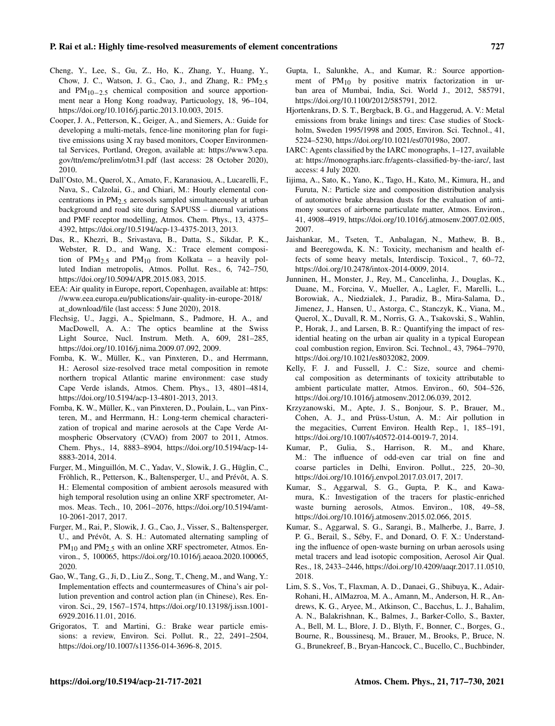## P. Rai et al.: Highly time-resolved measurements of element concentrations 727

- Cheng, Y., Lee, S., Gu, Z., Ho, K., Zhang, Y., Huang, Y., Chow, J. C., Watson, J. G., Cao, J., and Zhang, R.:  $PM<sub>2.5</sub>$ and  $PM_{10-2.5}$  chemical composition and source apportionment near a Hong Kong roadway, Particuology, 18, 96–104, https://doi.org/10.1016/j.partic.2013.10.003, 2015.
- Cooper, J. A., Petterson, K., Geiger, A., and Siemers, A.: Guide for developing a multi-metals, fence-line monitoring plan for fugitive emissions using X ray based monitors, Cooper Environmental Services, Portland, Oregon, available at: https://www3.epa. gov/ttn/emc/prelim/otm31.pdf (last access: 28 October 2020), 2010.
- Dall'Osto, M., Querol, X., Amato, F., Karanasiou, A., Lucarelli, F., Nava, S., Calzolai, G., and Chiari, M.: Hourly elemental concentrations in  $PM<sub>2.5</sub>$  aerosols sampled simultaneously at urban background and road site during SAPUSS – diurnal variations and PMF receptor modelling, Atmos. Chem. Phys., 13, 4375– 4392, https://doi.org/10.5194/acp-13-4375-2013, 2013.
- Das, R., Khezri, B., Srivastava, B., Datta, S., Sikdar, P. K., Webster, R. D., and Wang, X.: Trace element composition of  $PM_{2.5}$  and  $PM_{10}$  from Kolkata – a heavily polluted Indian metropolis, Atmos. Pollut. Res., 6, 742–750, https://doi.org/10.5094/APR.2015.083, 2015.
- EEA: Air quality in Europe, report, Copenhagen, available at: https: //www.eea.europa.eu/publications/air-quality-in-europe-2018/ at\_download/file (last access: 5 June 2020), 2018.
- Flechsig, U., Jaggi, A., Spielmann, S., Padmore, H. A., and MacDowell, A. A.: The optics beamline at the Swiss Light Source, Nucl. Instrum. Meth. A, 609, 281–285, https://doi.org/10.1016/j.nima.2009.07.092, 2009.
- Fomba, K. W., Müller, K., van Pinxteren, D., and Herrmann, H.: Aerosol size-resolved trace metal composition in remote northern tropical Atlantic marine environment: case study Cape Verde islands, Atmos. Chem. Phys., 13, 4801–4814, https://doi.org/10.5194/acp-13-4801-2013, 2013.
- Fomba, K. W., Müller, K., van Pinxteren, D., Poulain, L., van Pinxteren, M., and Herrmann, H.: Long-term chemical characterization of tropical and marine aerosols at the Cape Verde Atmospheric Observatory (CVAO) from 2007 to 2011, Atmos. Chem. Phys., 14, 8883–8904, https://doi.org/10.5194/acp-14- 8883-2014, 2014.
- Furger, M., Minguillón, M. C., Yadav, V., Slowik, J. G., Hüglin, C., Fröhlich, R., Petterson, K., Baltensperger, U., and Prévôt, A. S. H.: Elemental composition of ambient aerosols measured with high temporal resolution using an online XRF spectrometer, Atmos. Meas. Tech., 10, 2061–2076, https://doi.org/10.5194/amt-10-2061-2017, 2017.
- Furger, M., Rai, P., Slowik, J. G., Cao, J., Visser, S., Baltensperger, U., and Prévôt, A. S. H.: Automated alternating sampling of  $PM_{10}$  and  $PM_{2.5}$  with an online XRF spectrometer, Atmos. Environ., 5, 100065, https://doi.org/10.1016/j.aeaoa.2020.100065, 2020.
- Gao, W., Tang, G., Ji, D., Liu Z., Song, T., Cheng, M., and Wang, Y.: Implementation effects and countermeasures of China's air pollution prevention and control action plan (in Chinese), Res. Environ. Sci., 29, 1567–1574, https://doi.org/10.13198/j.issn.1001- 6929.2016.11.01, 2016.
- Grigoratos, T. and Martini, G.: Brake wear particle emissions: a review, Environ. Sci. Pollut. R., 22, 2491–2504, https://doi.org/10.1007/s11356-014-3696-8, 2015.
- Gupta, I., Salunkhe, A., and Kumar, R.: Source apportionment of  $PM_{10}$  by positive matrix factorization in urban area of Mumbai, India, Sci. World J., 2012, 585791, https://doi.org/10.1100/2012/585791, 2012.
- Hjortenkrans, D. S. T., Bergback, B. G., and Haggerud, A. V.: Metal emissions from brake linings and tires: Case studies of Stockholm, Sweden 1995/1998 and 2005, Environ. Sci. Technol., 41, 5224–5230, https://doi.org/10.1021/es070198o, 2007.
- IARC: Agents classified by the IARC monographs, 1–127, available at: https://monographs.iarc.fr/agents-classified-by-the-iarc/, last access: 4 July 2020.
- Iijima, A., Sato, K., Yano, K., Tago, H., Kato, M., Kimura, H., and Furuta, N.: Particle size and composition distribution analysis of automotive brake abrasion dusts for the evaluation of antimony sources of airborne particulate matter, Atmos. Environ., 41, 4908–4919, https://doi.org/10.1016/j.atmosenv.2007.02.005, 2007.
- Jaishankar, M., Tseten, T., Anbalagan, N., Mathew, B. B., and Beeregowda, K. N.: Toxicity, mechanism and health effects of some heavy metals, Interdiscip. Toxicol., 7, 60–72, https://doi.org/10.2478/intox-2014-0009, 2014.
- Junninen, H., Monster, J., Rey, M., Cancelinha, J., Douglas, K., Duane, M., Forcina, V., Mueller, A., Lagler, F., Marelli, L., Borowiak, A., Niedzialek, J., Paradiz, B., Mira-Salama, D., Jimenez, J., Hansen, U., Astorga, C., Stanczyk, K., Viana, M., Querol, X., Duvall, R. M., Norris, G. A., Tsakovski, S., Wahlin, P., Horak, J., and Larsen, B. R.: Quantifying the impact of residential heating on the urban air quality in a typical European coal combustion region, Environ. Sci. Technol., 43, 7964–7970, https://doi.org/10.1021/es8032082, 2009.
- Kelly, F. J. and Fussell, J. C.: Size, source and chemical composition as determinants of toxicity attributable to ambient particulate matter, Atmos. Environ., 60, 504–526, https://doi.org/10.1016/j.atmosenv.2012.06.039, 2012.
- Krzyzanowski, M., Apte, J. S., Bonjour, S. P., Brauer, M., Cohen, A. J., and Prüss-Ustun, A. M.: Air pollution in the megacities, Current Environ. Health Rep., 1, 185–191, https://doi.org/10.1007/s40572-014-0019-7, 2014.
- Kumar, P., Gulia, S., Harrison, R. M., and Khare, M.: The influence of odd-even car trial on fine and coarse particles in Delhi, Environ. Pollut., 225, 20–30, https://doi.org/10.1016/j.envpol.2017.03.017, 2017.
- Kumar, S., Aggarwal, S. G., Gupta, P. K., and Kawamura, K.: Investigation of the tracers for plastic-enriched waste burning aerosols, Atmos. Environ., 108, 49–58, https://doi.org/10.1016/j.atmosenv.2015.02.066, 2015.
- Kumar, S., Aggarwal, S. G., Sarangi, B., Malherbe, J., Barre, J. P. G., Berail, S., Séby, F., and Donard, O. F. X.: Understanding the influence of open-waste burning on urban aerosols using metal tracers and lead isotopic composition, Aerosol Air Qual. Res., 18, 2433–2446, https://doi.org/10.4209/aaqr.2017.11.0510, 2018.
- Lim, S. S., Vos, T., Flaxman, A. D., Danaei, G., Shibuya, K., Adair-Rohani, H., AlMazroa, M. A., Amann, M., Anderson, H. R., Andrews, K. G., Aryee, M., Atkinson, C., Bacchus, L. J., Bahalim, A. N., Balakrishnan, K., Balmes, J., Barker-Collo, S., Baxter, A., Bell, M. L., Blore, J. D., Blyth, F., Bonner, C., Borges, G., Bourne, R., Boussinesq, M., Brauer, M., Brooks, P., Bruce, N. G., Brunekreef, B., Bryan-Hancock, C., Bucello, C., Buchbinder,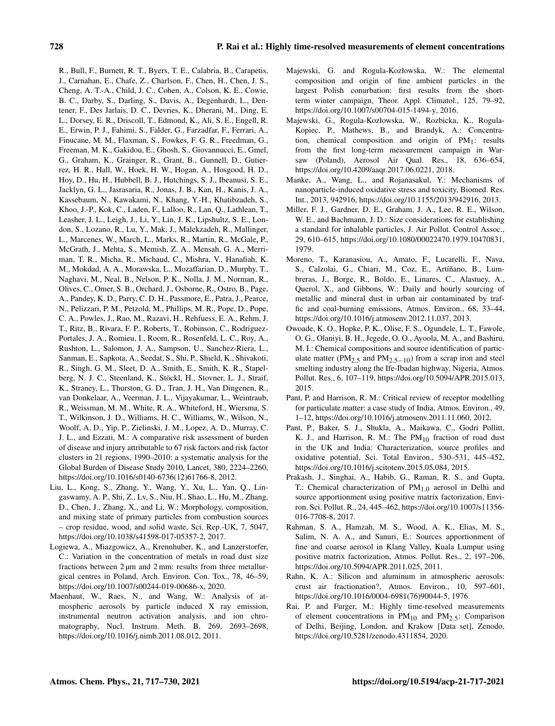R., Bull, F., Burnett, R. T., Byers, T. E., Calabria, B., Carapetis, J., Carnahan, E., Chafe, Z., Charlson, F., Chen, H., Chen, J. S., Cheng, A. T.-A., Child, J. C., Cohen, A., Colson, K. E., Cowie, B. C., Darby, S., Darling, S., Davis, A., Degenhardt, L., Dentener, F., Des Jarlais, D. C., Devries, K., Dherani, M., Ding, E. L., Dorsey, E. R., Driscoll, T., Edmond, K., Ali, S. E., Engell, R. E., Erwin, P. J., Fahimi, S., Falder, G., Farzadfar, F., Ferrari, A., Finucane, M. M., Flaxman, S., Fowkes, F. G. R., Freedman, G., Freeman, M. K., Gakidou, E., Ghosh, S., Giovannucci, E., Gmel, G., Graham, K., Grainger, R., Grant, B., Gunnell, D., Gutierrez, H. R., Hall, W., Hoek, H. W., Hogan, A., Hosgood, H. D., Hoy, D., Hu, H., Hubbell, B. J., Hutchings, S. J., Ibeanusi, S. E., Jacklyn, G. L., Jasrasaria, R., Jonas, J. B., Kan, H., Kanis, J. A., Kassebaum, N., Kawakami, N., Khang, Y.-H., Khatibzadeh, S., Khoo, J.-P., Kok, C., Laden, F., Lalloo, R., Lan, Q., Lathlean, T., Leasher, J. L., Leigh, J., Li, Y., Lin, J. K., Lipshultz, S. E., London, S., Lozano, R., Lu, Y., Mak, J., Malekzadeh, R., Mallinger, L., Marcenes, W., March, L., Marks, R., Martin, R., McGale, P., McGrath, J., Mehta, S., Memish, Z. A., Mensah, G. A., Merriman, T. R., Micha, R., Michaud, C., Mishra, V., Hanafiah, K. M., Mokdad, A. A., Morawska, L., Mozaffarian, D., Murphy, T., Naghavi, M., Neal, B., Nelson, P. K., Nolla, J. M., Norman, R., Olives, C., Omer, S. B., Orchard, J., Osborne, R., Ostro, B., Page, A., Pandey, K. D., Parry, C. D. H., Passmore, E., Patra, J., Pearce, N., Pelizzari, P. M., Petzold, M., Phillips, M. R., Pope, D., Pope, C. A., Powles, J., Rao, M., Razavi, H., Rehfuess, E. A., Rehm, J. T., Ritz, B., Rivara, F. P., Roberts, T., Robinson, C., Rodriguez-Portales, J. A., Romieu, I., Room, R., Rosenfeld, L. C., Roy, A., Rushton, L., Salomon, J. A., Sampson, U., Sanchez-Riera, L., Sanman, E., Sapkota, A., Seedat, S., Shi, P., Shield, K., Shivakoti, R., Singh, G. M., Sleet, D. A., Smith, E., Smith, K. R., Stapelberg, N. J. C., Steenland, K., Stöckl, H., Stovner, L. J., Straif, K., Straney, L., Thurston, G. D., Tran, J. H., Van Dingenen, R., van Donkelaar, A., Veerman, J. L., Vijayakumar, L., Weintraub, R., Weissman, M. M., White, R. A., Whiteford, H., Wiersma, S. T., Wilkinson, J. D., Williams, H. C., Williams, W., Wilson, N., Woolf, A. D., Yip, P., Zielinski, J. M., Lopez, A. D., Murray, C. J. L., and Ezzati, M.: A comparative risk assessment of burden of disease and injury attributable to 67 risk factors and risk factor clusters in 21 regions, 1990–2010: a systematic analysis for the Global Burden of Disease Study 2010, Lancet, 380, 2224–2260, https://doi.org/10.1016/s0140-6736(12)61766-8, 2012.

- Liu, L., Kong, S., Zhang, Y., Wang, Y., Xu, L., Yan, Q., Lingaswamy, A. P., Shi, Z., Lv, S., Niu, H., Shao, L., Hu, M., Zhang, D., Chen, J., Zhang, X., and Li, W.: Morphology, composition, and mixing state of primary particles from combustion sources – crop residue, wood, and solid waste, Sci. Rep.-UK, 7, 5047, https://doi.org/10.1038/s41598-017-05357-2, 2017.
- Logiewa, A., Miazgowicz, A., Krennhuber, K., and Lanzerstorfer, C.: Variation in the concentration of metals in road dust size fractions between 2  $\mu$ m and 2 mm: results from three metallurgical centres in Poland, Arch. Environ. Con. Tox., 78, 46–59, https://doi.org/10.1007/s00244-019-00686-x, 2020.
- Maenhaut, W., Raes, N., and Wang, W.: Analysis of atmospheric aerosols by particle induced X ray emission, instrumental neutron activation analysis, and ion chromatography, Nucl. Instrum. Meth. B, 269, 2693–2698, https://doi.org/10.1016/j.nimb.2011.08.012, 2011.
- Majewski, G. and Rogula-Kozłowska, W.: The elemental composition and origin of fine ambient particles in the largest Polish conurbation: first results from the shortterm winter campaign, Theor. Appl. Climatol., 125, 79–92, https://doi.org/10.1007/s00704-015-1494-y, 2016.
- Majewski, G., Rogula-Kozłowska, W., Rozbicka, K., Rogula-Kopiec, P., Mathews, B., and Brandyk, A.: Concentration, chemical composition and origin of  $PM_1$ : results from the first long-term measurement campaign in Warsaw (Poland), Aerosol Air Qual. Res., 18, 636–654, https://doi.org/10.4209/aaqr.2017.06.0221, 2018.
- Manke, A., Wang, L., and Rojanasakul, Y.: Mechanisms of nanoparticle-induced oxidative stress and toxicity, Biomed. Res. Int., 2013, 942916, https://doi.org/10.1155/2013/942916, 2013.
- Miller, F. J., Gardner, D. E., Graham, J. A., Lee, R. E., Wilson, W. E., and Bachmann, J. D.: Size considerations for establishing a standard for inhalable particles, J. Air Pollut. Control Assoc., 29, 610–615, https://doi.org/10.1080/00022470.1979.10470831, 1979.
- Moreno, T., Karanasiou, A., Amato, F., Lucarelli, F., Nava, S., Calzolai, G., Chiari, M., Coz, E., Artíñano, B., Lumbreras, J., Borge, R., Boldo, E., Linares, C., Alastuey, A., Querol, X., and Gibbons, W.: Daily and hourly sourcing of metallic and mineral dust in urban air contaminated by traffic and coal-burning emissions, Atmos. Environ., 68, 33–44, https://doi.org/10.1016/j.atmosenv.2012.11.037, 2013.
- Owoade, K. O., Hopke, P. K., Olise, F. S., Ogundele, L. T., Fawole, O. G., Olaniyi, B. H., Jegede, O. O., Ayoola, M. A., and Bashiru, M. I.: Chemical compositions and source identification of particulate matter (PM<sub>2.5</sub> and PM<sub>2.5−10</sub>) from a scrap iron and steel smelting industry along the Ife-Ibadan highway, Nigeria, Atmos. Pollut. Res., 6, 107–119, https://doi.org/10.5094/APR.2015.013, 2015.
- Pant, P. and Harrison, R. M.: Critical review of receptor modelling for particulate matter: a case study of India, Atmos. Environ., 49, 1–12, https://doi.org/10.1016/j.atmosenv.2011.11.060, 2012.
- Pant, P., Baker, S. J., Shukla, A., Maikawa, C., Godri Pollitt, K. J., and Harrison, R. M.: The  $PM_{10}$  fraction of road dust in the UK and India: Characterization, source profiles and oxidative potential, Sci. Total Environ., 530–531, 445–452, https://doi.org/10.1016/j.scitotenv.2015.05.084, 2015.
- Prakash, J., Singhai, A., Habib, G., Raman, R. S., and Gupta, T.: Chemical characterization of  $PM<sub>1.0</sub>$  aerosol in Delhi and source apportionment using positive matrix factorization, Environ. Sci. Pollut. R., 24, 445–462, https://doi.org/10.1007/s11356- 016-7708-8, 2017.
- Rahman, S. A., Hamzah, M. S., Wood, A. K., Elias, M. S., Salim, N. A. A., and Sanuri, E.: Sources apportionment of fine and coarse aerosol in Klang Valley, Kuala Lumpur using positive matrix factorization, Atmos. Pollut. Res., 2, 197–206, https://doi.org/10.5094/APR.2011.025, 2011.
- Rahn, K. A.: Silicon and aluminum in atmospheric aerosols: crust air fractionation?, Atmos. Environ., 10, 597–601, https://doi.org/10.1016/0004-6981(76)90044-5, 1976.
- Rai, P. and Furger, M.: Highly time-resolved measurements of element concentrations in  $PM_{10}$  and  $PM_{2.5}$ : Comparison of Delhi, Beijing, London, and Krakow [Data set], Zenodo, https://doi.org/10.5281/zenodo.4311854, 2020.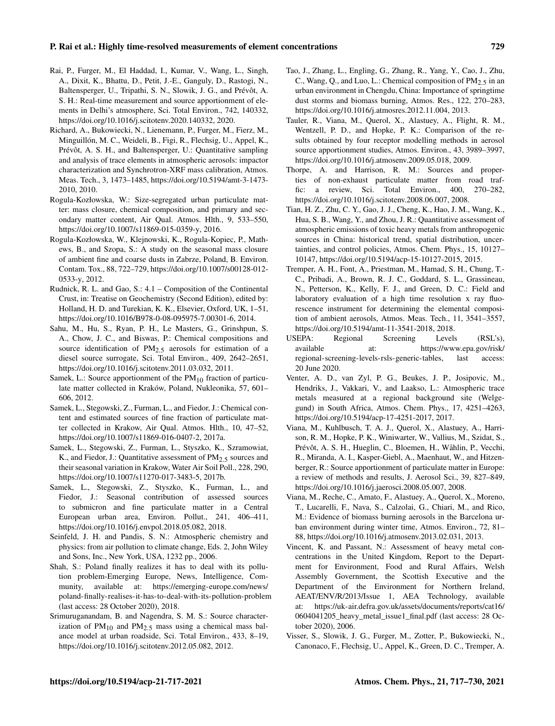## P. Rai et al.: Highly time-resolved measurements of element concentrations 729

- Rai, P., Furger, M., El Haddad, I., Kumar, V., Wang, L., Singh, A., Dixit, K., Bhattu, D., Petit, J.-E., Ganguly, D., Rastogi, N., Baltensperger, U., Tripathi, S. N., Slowik, J. G., and Prévôt, A. S. H.: Real-time measurement and source apportionment of elements in Delhi's atmosphere, Sci. Total Environ., 742, 140332, https://doi.org/10.1016/j.scitotenv.2020.140332, 2020.
- Richard, A., Bukowiecki, N., Lienemann, P., Furger, M., Fierz, M., Minguillón, M. C., Weideli, B., Figi, R., Flechsig, U., Appel, K., Prévôt, A. S. H., and Baltensperger, U.: Quantitative sampling and analysis of trace elements in atmospheric aerosols: impactor characterization and Synchrotron-XRF mass calibration, Atmos. Meas. Tech., 3, 1473–1485, https://doi.org/10.5194/amt-3-1473- 2010, 2010.
- Rogula-Kozłowska, W.: Size-segregated urban particulate matter: mass closure, chemical composition, and primary and secondary matter content, Air Qual. Atmos. Hlth., 9, 533–550, https://doi.org/10.1007/s11869-015-0359-y, 2016.
- Rogula-Kozłowska, W., Klejnowski, K., Rogula-Kopiec, P., Mathews, B., and Szopa, S.: A study on the seasonal mass closure of ambient fine and coarse dusts in Zabrze, Poland, B. Environ. Contam. Tox., 88, 722–729, https://doi.org/10.1007/s00128-012- 0533-y, 2012.
- Rudnick, R. L. and Gao, S.: 4.1 Composition of the Continental Crust, in: Treatise on Geochemistry (Second Edition), edited by: Holland, H. D. and Turekian, K. K., Elsevier, Oxford, UK, 1–51, https://doi.org/10.1016/B978-0-08-095975-7.00301-6, 2014.
- Sahu, M., Hu, S., Ryan, P. H., Le Masters, G., Grinshpun, S. A., Chow, J. C., and Biswas, P.: Chemical compositions and source identification of  $PM_2$ , aerosols for estimation of a diesel source surrogate, Sci. Total Environ., 409, 2642–2651, https://doi.org/10.1016/j.scitotenv.2011.03.032, 2011.
- Samek, L.: Source apportionment of the  $PM_{10}$  fraction of particulate matter collected in Kraków, Poland, Nukleonika, 57, 601– 606, 2012.
- Samek, L., Stegowski, Z., Furman, L., and Fiedor, J.: Chemical content and estimated sources of fine fraction of particulate matter collected in Krakow, Air Qual. Atmos. Hlth., 10, 47–52, https://doi.org/10.1007/s11869-016-0407-2, 2017a.
- Samek, L., Stegowski, Z., Furman, L., Styszko, K., Szramowiat, K., and Fiedor, J.: Quantitative assessment of  $PM<sub>2</sub>$  sources and their seasonal variation in Krakow, Water Air Soil Poll., 228, 290, https://doi.org/10.1007/s11270-017-3483-5, 2017b.
- Samek, L., Stegowski, Z., Styszko, K., Furman, L., and Fiedor, J.: Seasonal contribution of assessed sources to submicron and fine particulate matter in a Central European urban area, Environ. Pollut., 241, 406–411, https://doi.org/10.1016/j.envpol.2018.05.082, 2018.
- Seinfeld, J. H. and Pandis, S. N.: Atmospheric chemistry and physics: from air pollution to climate change, Eds. 2, John Wiley and Sons, Inc., New York, USA, 1232 pp., 2006.
- Shah, S.: Poland finally realizes it has to deal with its pollution problem-Emerging Europe, News, Intelligence, Community, available at: https://emerging-europe.com/news/ poland-finally-realises-it-has-to-deal-with-its-pollution-problem (last access: 28 October 2020), 2018.
- Srimuruganandam, B. and Nagendra, S. M. S.: Source characterization of  $PM_{10}$  and  $PM_{2.5}$  mass using a chemical mass balance model at urban roadside, Sci. Total Environ., 433, 8–19, https://doi.org/10.1016/j.scitotenv.2012.05.082, 2012.
- Tao, J., Zhang, L., Engling, G., Zhang, R., Yang, Y., Cao, J., Zhu, C., Wang, Q., and Luo, L.: Chemical composition of  $PM_2$  5 in an urban environment in Chengdu, China: Importance of springtime dust storms and biomass burning, Atmos. Res., 122, 270–283, https://doi.org/10.1016/j.atmosres.2012.11.004, 2013.
- Tauler, R., Viana, M., Querol, X., Alastuey, A., Flight, R. M., Wentzell, P. D., and Hopke, P. K.: Comparison of the results obtained by four receptor modelling methods in aerosol source apportionment studies, Atmos. Environ., 43, 3989–3997, https://doi.org/10.1016/j.atmosenv.2009.05.018, 2009.
- Thorpe, A. and Harrison, R. M.: Sources and properties of non-exhaust particulate matter from road traffic: a review, Sci. Total Environ., 400, 270–282, https://doi.org/10.1016/j.scitotenv.2008.06.007, 2008.
- Tian, H. Z., Zhu, C. Y., Gao, J. J., Cheng, K., Hao, J. M., Wang, K., Hua, S. B., Wang, Y., and Zhou, J. R.: Quantitative assessment of atmospheric emissions of toxic heavy metals from anthropogenic sources in China: historical trend, spatial distribution, uncertainties, and control policies, Atmos. Chem. Phys., 15, 10127– 10147, https://doi.org/10.5194/acp-15-10127-2015, 2015.
- Tremper, A. H., Font, A., Priestman, M., Hamad, S. H., Chung, T.- C., Pribadi, A., Brown, R. J. C., Goddard, S. L., Grassineau, N., Petterson, K., Kelly, F. J., and Green, D. C.: Field and laboratory evaluation of a high time resolution x ray fluorescence instrument for determining the elemental composition of ambient aerosols, Atmos. Meas. Tech., 11, 3541–3557, https://doi.org/10.5194/amt-11-3541-2018, 2018.
- USEPA: Regional Screening Levels (RSL's), available at: https://www.epa.gov/risk/ regional-screening-levels-rsls-generic-tables, last access: 20 June 2020.
- Venter, A. D., van Zyl, P. G., Beukes, J. P., Josipovic, M., Hendriks, J., Vakkari, V., and Laakso, L.: Atmospheric trace metals measured at a regional background site (Welgegund) in South Africa, Atmos. Chem. Phys., 17, 4251–4263, https://doi.org/10.5194/acp-17-4251-2017, 2017.
- Viana, M., Kuhlbusch, T. A. J., Querol, X., Alastuey, A., Harrison, R. M., Hopke, P. K., Winiwarter, W., Vallius, M., Szidat, S., Prévôt, A. S. H., Hueglin, C., Bloemen, H., Wåhlin, P., Vecchi, R., Miranda, A. I., Kasper-Giebl, A., Maenhaut, W., and Hitzenberger, R.: Source apportionment of particulate matter in Europe: a review of methods and results, J. Aerosol Sci., 39, 827–849, https://doi.org/10.1016/j.jaerosci.2008.05.007, 2008.
- Viana, M., Reche, C., Amato, F., Alastuey, A., Querol, X., Moreno, T., Lucarelli, F., Nava, S., Calzolai, G., Chiari, M., and Rico, M.: Evidence of biomass burning aerosols in the Barcelona urban environment during winter time, Atmos. Environ., 72, 81– 88, https://doi.org/10.1016/j.atmosenv.2013.02.031, 2013.
- Vincent, K. and Passant, N.: Assessment of heavy metal concentrations in the United Kingdom, Report to the Department for Environment, Food and Rural Affairs, Welsh Assembly Government, the Scottish Executive and the Department of the Environment for Northern Ireland, AEAT/ENV/R/2013/Issue 1, AEA Technology, available at: https://uk-air.defra.gov.uk/assets/documents/reports/cat16/ 0604041205\_heavy\_metal\_issue1\_final.pdf (last access: 28 October 2020), 2006.
- Visser, S., Slowik, J. G., Furger, M., Zotter, P., Bukowiecki, N., Canonaco, F., Flechsig, U., Appel, K., Green, D. C., Tremper, A.